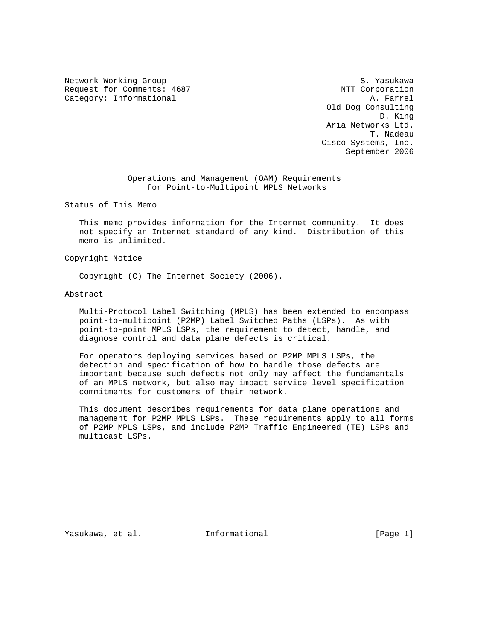Network Working Group S. Yasukawa Request for Comments: 4687 NTT Corporation<br>Category: Informational M. Farrel Category: Informational

 Old Dog Consulting D. King Aria Networks Ltd. T. Nadeau Cisco Systems, Inc. September 2006

> Operations and Management (OAM) Requirements for Point-to-Multipoint MPLS Networks

Status of This Memo

 This memo provides information for the Internet community. It does not specify an Internet standard of any kind. Distribution of this memo is unlimited.

Copyright Notice

Copyright (C) The Internet Society (2006).

Abstract

 Multi-Protocol Label Switching (MPLS) has been extended to encompass point-to-multipoint (P2MP) Label Switched Paths (LSPs). As with point-to-point MPLS LSPs, the requirement to detect, handle, and diagnose control and data plane defects is critical.

 For operators deploying services based on P2MP MPLS LSPs, the detection and specification of how to handle those defects are important because such defects not only may affect the fundamentals of an MPLS network, but also may impact service level specification commitments for customers of their network.

 This document describes requirements for data plane operations and management for P2MP MPLS LSPs. These requirements apply to all forms of P2MP MPLS LSPs, and include P2MP Traffic Engineered (TE) LSPs and multicast LSPs.

Yasukawa, et al. Informational [Page 1]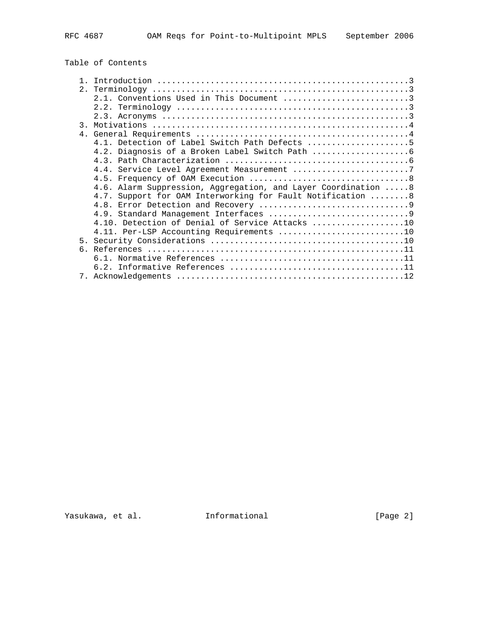Table of Contents

|                | 2.1. Conventions Used in This Document 3                      |
|----------------|---------------------------------------------------------------|
|                |                                                               |
|                |                                                               |
|                |                                                               |
|                |                                                               |
|                | 4.1. Detection of Label Switch Path Defects 5                 |
|                |                                                               |
|                |                                                               |
|                | 4.4. Service Level Agreement Measurement 7                    |
|                |                                                               |
|                | 4.6. Alarm Suppression, Aggregation, and Layer Coordination 8 |
|                | 4.7. Support for OAM Interworking for Fault Notification  8   |
|                |                                                               |
|                |                                                               |
|                | 4.10. Detection of Denial of Service Attacks 10               |
|                |                                                               |
| 5 <sub>1</sub> |                                                               |
| რ —            |                                                               |
|                |                                                               |
|                |                                                               |
|                |                                                               |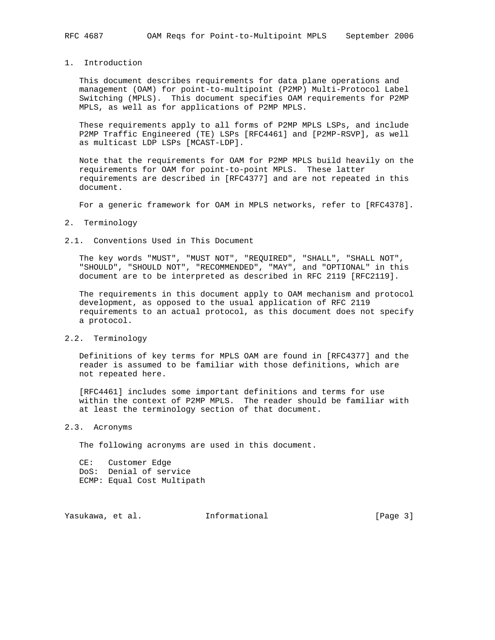# 1. Introduction

 This document describes requirements for data plane operations and management (OAM) for point-to-multipoint (P2MP) Multi-Protocol Label Switching (MPLS). This document specifies OAM requirements for P2MP MPLS, as well as for applications of P2MP MPLS.

 These requirements apply to all forms of P2MP MPLS LSPs, and include P2MP Traffic Engineered (TE) LSPs [RFC4461] and [P2MP-RSVP], as well as multicast LDP LSPs [MCAST-LDP].

 Note that the requirements for OAM for P2MP MPLS build heavily on the requirements for OAM for point-to-point MPLS. These latter requirements are described in [RFC4377] and are not repeated in this document.

For a generic framework for OAM in MPLS networks, refer to [RFC4378].

#### 2. Terminology

### 2.1. Conventions Used in This Document

 The key words "MUST", "MUST NOT", "REQUIRED", "SHALL", "SHALL NOT", "SHOULD", "SHOULD NOT", "RECOMMENDED", "MAY", and "OPTIONAL" in this document are to be interpreted as described in RFC 2119 [RFC2119].

 The requirements in this document apply to OAM mechanism and protocol development, as opposed to the usual application of RFC 2119 requirements to an actual protocol, as this document does not specify a protocol.

# 2.2. Terminology

 Definitions of key terms for MPLS OAM are found in [RFC4377] and the reader is assumed to be familiar with those definitions, which are not repeated here.

 [RFC4461] includes some important definitions and terms for use within the context of P2MP MPLS. The reader should be familiar with at least the terminology section of that document.

### 2.3. Acronyms

The following acronyms are used in this document.

 CE: Customer Edge DoS: Denial of service ECMP: Equal Cost Multipath

Yasukawa, et al. 1nformational 1999 [Page 3]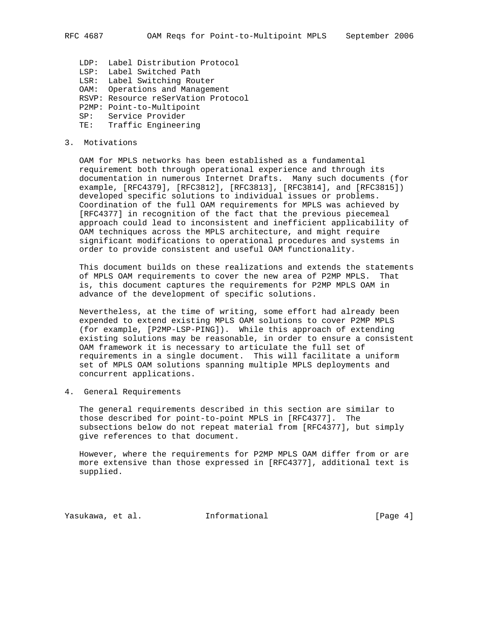LDP: Label Distribution Protocol LSP: Label Switched Path LSR: Label Switching Router OAM: Operations and Management RSVP: Resource reSerVation Protocol P2MP: Point-to-Multipoint SP: Service Provider TE: Traffic Engineering

### 3. Motivations

 OAM for MPLS networks has been established as a fundamental requirement both through operational experience and through its documentation in numerous Internet Drafts. Many such documents (for example, [RFC4379], [RFC3812], [RFC3813], [RFC3814], and [RFC3815]) developed specific solutions to individual issues or problems. Coordination of the full OAM requirements for MPLS was achieved by [RFC4377] in recognition of the fact that the previous piecemeal approach could lead to inconsistent and inefficient applicability of OAM techniques across the MPLS architecture, and might require significant modifications to operational procedures and systems in order to provide consistent and useful OAM functionality.

 This document builds on these realizations and extends the statements of MPLS OAM requirements to cover the new area of P2MP MPLS. That is, this document captures the requirements for P2MP MPLS OAM in advance of the development of specific solutions.

 Nevertheless, at the time of writing, some effort had already been expended to extend existing MPLS OAM solutions to cover P2MP MPLS (for example, [P2MP-LSP-PING]). While this approach of extending existing solutions may be reasonable, in order to ensure a consistent OAM framework it is necessary to articulate the full set of requirements in a single document. This will facilitate a uniform set of MPLS OAM solutions spanning multiple MPLS deployments and concurrent applications.

4. General Requirements

 The general requirements described in this section are similar to those described for point-to-point MPLS in [RFC4377]. The subsections below do not repeat material from [RFC4377], but simply give references to that document.

 However, where the requirements for P2MP MPLS OAM differ from or are more extensive than those expressed in [RFC4377], additional text is supplied.

Yasukawa, et al. 1nformational 1992 (Page 4)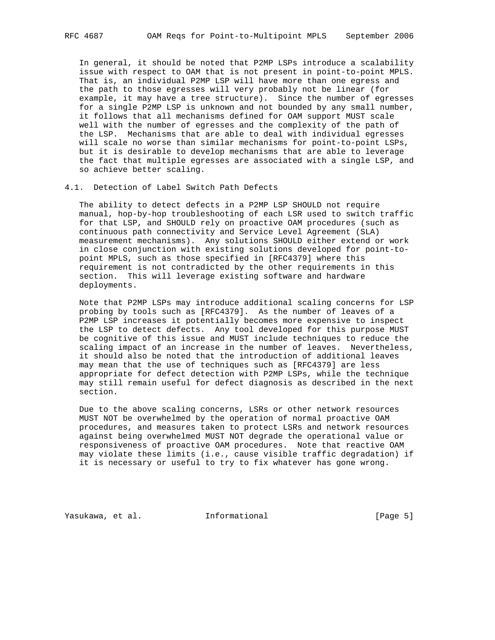In general, it should be noted that P2MP LSPs introduce a scalability issue with respect to OAM that is not present in point-to-point MPLS. That is, an individual P2MP LSP will have more than one egress and the path to those egresses will very probably not be linear (for example, it may have a tree structure). Since the number of egresses for a single P2MP LSP is unknown and not bounded by any small number, it follows that all mechanisms defined for OAM support MUST scale well with the number of egresses and the complexity of the path of the LSP. Mechanisms that are able to deal with individual egresses will scale no worse than similar mechanisms for point-to-point LSPs, but it is desirable to develop mechanisms that are able to leverage the fact that multiple egresses are associated with a single LSP, and so achieve better scaling.

### 4.1. Detection of Label Switch Path Defects

 The ability to detect defects in a P2MP LSP SHOULD not require manual, hop-by-hop troubleshooting of each LSR used to switch traffic for that LSP, and SHOULD rely on proactive OAM procedures (such as continuous path connectivity and Service Level Agreement (SLA) measurement mechanisms). Any solutions SHOULD either extend or work in close conjunction with existing solutions developed for point-to point MPLS, such as those specified in [RFC4379] where this requirement is not contradicted by the other requirements in this section. This will leverage existing software and hardware deployments.

 Note that P2MP LSPs may introduce additional scaling concerns for LSP probing by tools such as [RFC4379]. As the number of leaves of a P2MP LSP increases it potentially becomes more expensive to inspect the LSP to detect defects. Any tool developed for this purpose MUST be cognitive of this issue and MUST include techniques to reduce the scaling impact of an increase in the number of leaves. Nevertheless, it should also be noted that the introduction of additional leaves may mean that the use of techniques such as [RFC4379] are less appropriate for defect detection with P2MP LSPs, while the technique may still remain useful for defect diagnosis as described in the next section.

 Due to the above scaling concerns, LSRs or other network resources MUST NOT be overwhelmed by the operation of normal proactive OAM procedures, and measures taken to protect LSRs and network resources against being overwhelmed MUST NOT degrade the operational value or responsiveness of proactive OAM procedures. Note that reactive OAM may violate these limits (i.e., cause visible traffic degradation) if it is necessary or useful to try to fix whatever has gone wrong.

Yasukawa, et al. 1nformational 1999 [Page 5]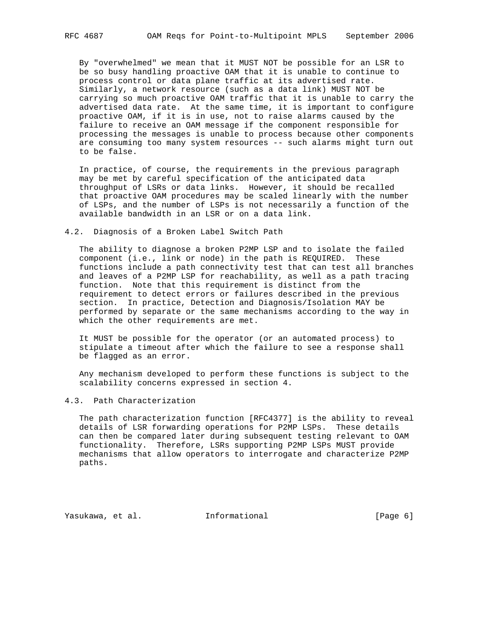By "overwhelmed" we mean that it MUST NOT be possible for an LSR to be so busy handling proactive OAM that it is unable to continue to process control or data plane traffic at its advertised rate. Similarly, a network resource (such as a data link) MUST NOT be carrying so much proactive OAM traffic that it is unable to carry the advertised data rate. At the same time, it is important to configure proactive OAM, if it is in use, not to raise alarms caused by the failure to receive an OAM message if the component responsible for processing the messages is unable to process because other components are consuming too many system resources -- such alarms might turn out to be false.

 In practice, of course, the requirements in the previous paragraph may be met by careful specification of the anticipated data throughput of LSRs or data links. However, it should be recalled that proactive OAM procedures may be scaled linearly with the number of LSPs, and the number of LSPs is not necessarily a function of the available bandwidth in an LSR or on a data link.

## 4.2. Diagnosis of a Broken Label Switch Path

 The ability to diagnose a broken P2MP LSP and to isolate the failed component (i.e., link or node) in the path is REQUIRED. These functions include a path connectivity test that can test all branches and leaves of a P2MP LSP for reachability, as well as a path tracing function. Note that this requirement is distinct from the requirement to detect errors or failures described in the previous section. In practice, Detection and Diagnosis/Isolation MAY be performed by separate or the same mechanisms according to the way in which the other requirements are met.

 It MUST be possible for the operator (or an automated process) to stipulate a timeout after which the failure to see a response shall be flagged as an error.

 Any mechanism developed to perform these functions is subject to the scalability concerns expressed in section 4.

# 4.3. Path Characterization

 The path characterization function [RFC4377] is the ability to reveal details of LSR forwarding operations for P2MP LSPs. These details can then be compared later during subsequent testing relevant to OAM functionality. Therefore, LSRs supporting P2MP LSPs MUST provide mechanisms that allow operators to interrogate and characterize P2MP paths.

Yasukawa, et al. 1nformational (Page 6)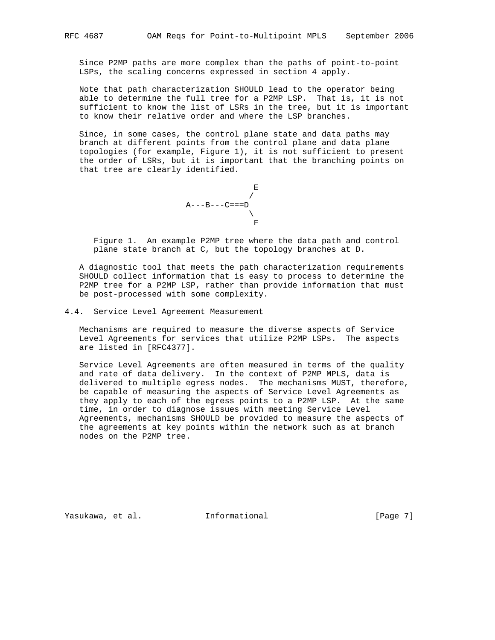Since P2MP paths are more complex than the paths of point-to-point LSPs, the scaling concerns expressed in section 4 apply.

 Note that path characterization SHOULD lead to the operator being able to determine the full tree for a P2MP LSP. That is, it is not sufficient to know the list of LSRs in the tree, but it is important to know their relative order and where the LSP branches.

 Since, in some cases, the control plane state and data paths may branch at different points from the control plane and data plane topologies (for example, Figure 1), it is not sufficient to present the order of LSRs, but it is important that the branching points on that tree are clearly identified.

$$
\begin{array}{c}\nE \\
\downarrow \\
A---B---C==D \\
\searrow \\
F\n\end{array}
$$

 Figure 1. An example P2MP tree where the data path and control plane state branch at C, but the topology branches at D.

 A diagnostic tool that meets the path characterization requirements SHOULD collect information that is easy to process to determine the P2MP tree for a P2MP LSP, rather than provide information that must be post-processed with some complexity.

4.4. Service Level Agreement Measurement

 Mechanisms are required to measure the diverse aspects of Service Level Agreements for services that utilize P2MP LSPs. The aspects are listed in [RFC4377].

 Service Level Agreements are often measured in terms of the quality and rate of data delivery. In the context of P2MP MPLS, data is delivered to multiple egress nodes. The mechanisms MUST, therefore, be capable of measuring the aspects of Service Level Agreements as they apply to each of the egress points to a P2MP LSP. At the same time, in order to diagnose issues with meeting Service Level Agreements, mechanisms SHOULD be provided to measure the aspects of the agreements at key points within the network such as at branch nodes on the P2MP tree.

Yasukawa, et al. 1nformational 1999 [Page 7]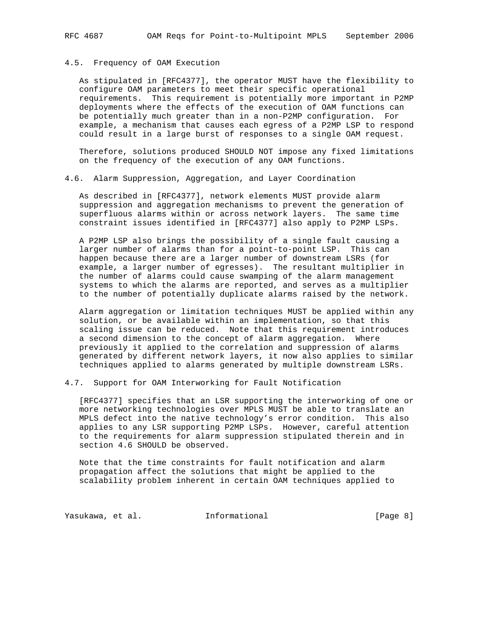# 4.5. Frequency of OAM Execution

 As stipulated in [RFC4377], the operator MUST have the flexibility to configure OAM parameters to meet their specific operational requirements. This requirement is potentially more important in P2MP deployments where the effects of the execution of OAM functions can be potentially much greater than in a non-P2MP configuration. For example, a mechanism that causes each egress of a P2MP LSP to respond could result in a large burst of responses to a single OAM request.

 Therefore, solutions produced SHOULD NOT impose any fixed limitations on the frequency of the execution of any OAM functions.

### 4.6. Alarm Suppression, Aggregation, and Layer Coordination

 As described in [RFC4377], network elements MUST provide alarm suppression and aggregation mechanisms to prevent the generation of superfluous alarms within or across network layers. The same time constraint issues identified in [RFC4377] also apply to P2MP LSPs.

 A P2MP LSP also brings the possibility of a single fault causing a larger number of alarms than for a point-to-point LSP. This can happen because there are a larger number of downstream LSRs (for example, a larger number of egresses). The resultant multiplier in the number of alarms could cause swamping of the alarm management systems to which the alarms are reported, and serves as a multiplier to the number of potentially duplicate alarms raised by the network.

 Alarm aggregation or limitation techniques MUST be applied within any solution, or be available within an implementation, so that this scaling issue can be reduced. Note that this requirement introduces a second dimension to the concept of alarm aggregation. Where previously it applied to the correlation and suppression of alarms generated by different network layers, it now also applies to similar techniques applied to alarms generated by multiple downstream LSRs.

4.7. Support for OAM Interworking for Fault Notification

 [RFC4377] specifies that an LSR supporting the interworking of one or more networking technologies over MPLS MUST be able to translate an MPLS defect into the native technology's error condition. This also applies to any LSR supporting P2MP LSPs. However, careful attention to the requirements for alarm suppression stipulated therein and in section 4.6 SHOULD be observed.

 Note that the time constraints for fault notification and alarm propagation affect the solutions that might be applied to the scalability problem inherent in certain OAM techniques applied to

Yasukawa, et al. 1nformational 1999 [Page 8]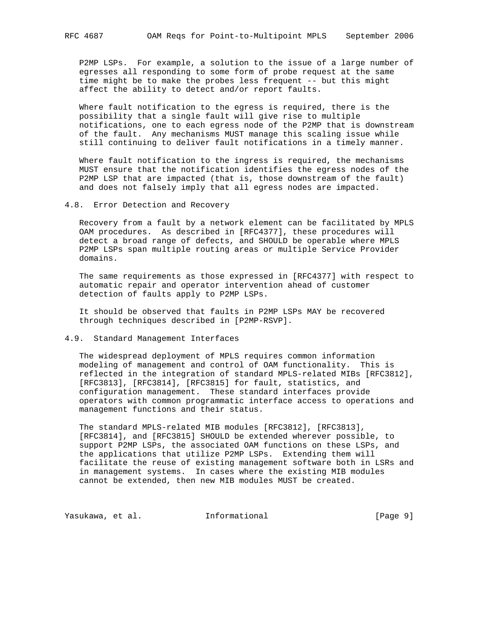P2MP LSPs. For example, a solution to the issue of a large number of egresses all responding to some form of probe request at the same time might be to make the probes less frequent -- but this might affect the ability to detect and/or report faults.

 Where fault notification to the egress is required, there is the possibility that a single fault will give rise to multiple notifications, one to each egress node of the P2MP that is downstream of the fault. Any mechanisms MUST manage this scaling issue while still continuing to deliver fault notifications in a timely manner.

 Where fault notification to the ingress is required, the mechanisms MUST ensure that the notification identifies the egress nodes of the P2MP LSP that are impacted (that is, those downstream of the fault) and does not falsely imply that all egress nodes are impacted.

4.8. Error Detection and Recovery

 Recovery from a fault by a network element can be facilitated by MPLS OAM procedures. As described in [RFC4377], these procedures will detect a broad range of defects, and SHOULD be operable where MPLS P2MP LSPs span multiple routing areas or multiple Service Provider domains.

 The same requirements as those expressed in [RFC4377] with respect to automatic repair and operator intervention ahead of customer detection of faults apply to P2MP LSPs.

 It should be observed that faults in P2MP LSPs MAY be recovered through techniques described in [P2MP-RSVP].

### 4.9. Standard Management Interfaces

 The widespread deployment of MPLS requires common information modeling of management and control of OAM functionality. This is reflected in the integration of standard MPLS-related MIBs [RFC3812], [RFC3813], [RFC3814], [RFC3815] for fault, statistics, and configuration management. These standard interfaces provide operators with common programmatic interface access to operations and management functions and their status.

 The standard MPLS-related MIB modules [RFC3812], [RFC3813], [RFC3814], and [RFC3815] SHOULD be extended wherever possible, to support P2MP LSPs, the associated OAM functions on these LSPs, and the applications that utilize P2MP LSPs. Extending them will facilitate the reuse of existing management software both in LSRs and in management systems. In cases where the existing MIB modules cannot be extended, then new MIB modules MUST be created.

Yasukawa, et al. 1nformational 1999 [Page 9]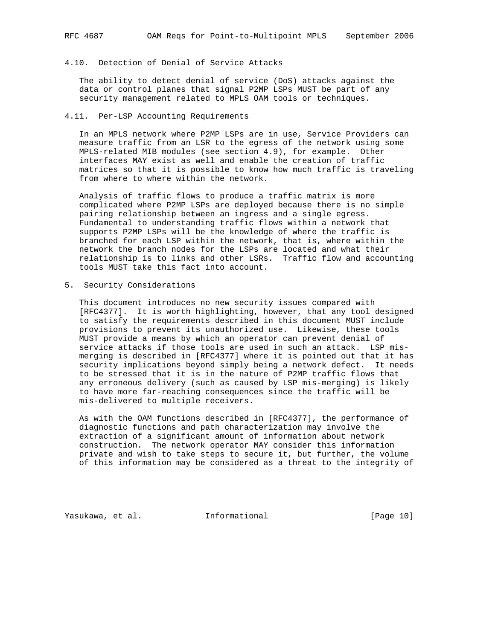# 4.10. Detection of Denial of Service Attacks

 The ability to detect denial of service (DoS) attacks against the data or control planes that signal P2MP LSPs MUST be part of any security management related to MPLS OAM tools or techniques.

## 4.11. Per-LSP Accounting Requirements

 In an MPLS network where P2MP LSPs are in use, Service Providers can measure traffic from an LSR to the egress of the network using some MPLS-related MIB modules (see section 4.9), for example. Other interfaces MAY exist as well and enable the creation of traffic matrices so that it is possible to know how much traffic is traveling from where to where within the network.

 Analysis of traffic flows to produce a traffic matrix is more complicated where P2MP LSPs are deployed because there is no simple pairing relationship between an ingress and a single egress. Fundamental to understanding traffic flows within a network that supports P2MP LSPs will be the knowledge of where the traffic is branched for each LSP within the network, that is, where within the network the branch nodes for the LSPs are located and what their relationship is to links and other LSRs. Traffic flow and accounting tools MUST take this fact into account.

5. Security Considerations

 This document introduces no new security issues compared with [RFC4377]. It is worth highlighting, however, that any tool designed to satisfy the requirements described in this document MUST include provisions to prevent its unauthorized use. Likewise, these tools MUST provide a means by which an operator can prevent denial of service attacks if those tools are used in such an attack. LSP mis merging is described in [RFC4377] where it is pointed out that it has security implications beyond simply being a network defect. It needs to be stressed that it is in the nature of P2MP traffic flows that any erroneous delivery (such as caused by LSP mis-merging) is likely to have more far-reaching consequences since the traffic will be mis-delivered to multiple receivers.

 As with the OAM functions described in [RFC4377], the performance of diagnostic functions and path characterization may involve the extraction of a significant amount of information about network construction. The network operator MAY consider this information private and wish to take steps to secure it, but further, the volume of this information may be considered as a threat to the integrity of

Yasukawa, et al. 1nformational 1999 [Page 10]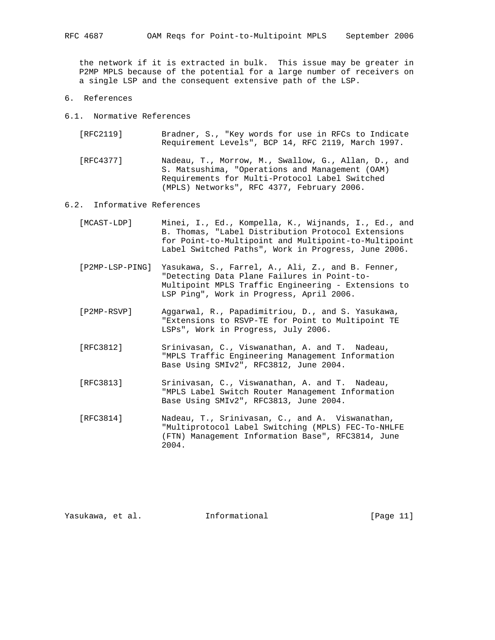the network if it is extracted in bulk. This issue may be greater in P2MP MPLS because of the potential for a large number of receivers on a single LSP and the consequent extensive path of the LSP.

- 6. References
- 6.1. Normative References
	- [RFC2119] Bradner, S., "Key words for use in RFCs to Indicate Requirement Levels", BCP 14, RFC 2119, March 1997.

 [RFC4377] Nadeau, T., Morrow, M., Swallow, G., Allan, D., and S. Matsushima, "Operations and Management (OAM) Requirements for Multi-Protocol Label Switched (MPLS) Networks", RFC 4377, February 2006.

### 6.2. Informative References

- [MCAST-LDP] Minei, I., Ed., Kompella, K., Wijnands, I., Ed., and B. Thomas, "Label Distribution Protocol Extensions for Point-to-Multipoint and Multipoint-to-Multipoint Label Switched Paths", Work in Progress, June 2006.
- [P2MP-LSP-PING] Yasukawa, S., Farrel, A., Ali, Z., and B. Fenner, "Detecting Data Plane Failures in Point-to- Multipoint MPLS Traffic Engineering - Extensions to LSP Ping", Work in Progress, April 2006.
- [P2MP-RSVP] Aggarwal, R., Papadimitriou, D., and S. Yasukawa, "Extensions to RSVP-TE for Point to Multipoint TE LSPs", Work in Progress, July 2006.
- [RFC3812] Srinivasan, C., Viswanathan, A. and T. Nadeau, "MPLS Traffic Engineering Management Information Base Using SMIv2", RFC3812, June 2004.
- [RFC3813] Srinivasan, C., Viswanathan, A. and T. Nadeau, "MPLS Label Switch Router Management Information Base Using SMIv2", RFC3813, June 2004.
- [RFC3814] Nadeau, T., Srinivasan, C., and A. Viswanathan, "Multiprotocol Label Switching (MPLS) FEC-To-NHLFE (FTN) Management Information Base", RFC3814, June 2004.

Yasukawa, et al. 1nformational 1999 [Page 11]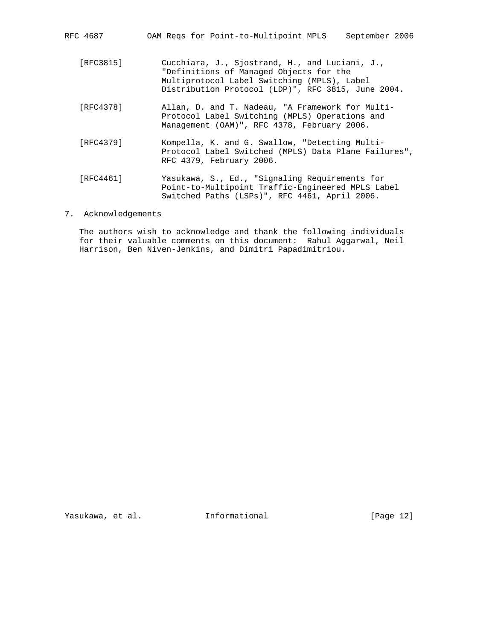| RFC 4687 |  |  | OAM Reqs for Point-to-Multipoint MPLS | September 2006 |  |
|----------|--|--|---------------------------------------|----------------|--|
|          |  |  |                                       |                |  |

- [RFC3815] Cucchiara, J., Sjostrand, H., and Luciani, J., "Definitions of Managed Objects for the Multiprotocol Label Switching (MPLS), Label Distribution Protocol (LDP)", RFC 3815, June 2004.
- [RFC4378] Allan, D. and T. Nadeau, "A Framework for Multi- Protocol Label Switching (MPLS) Operations and Management (OAM)", RFC 4378, February 2006.
- [RFC4379] Kompella, K. and G. Swallow, "Detecting Multi- Protocol Label Switched (MPLS) Data Plane Failures", RFC 4379, February 2006.
- [RFC4461] Yasukawa, S., Ed., "Signaling Requirements for Point-to-Multipoint Traffic-Engineered MPLS Label Switched Paths (LSPs)", RFC 4461, April 2006.
- 7. Acknowledgements

 The authors wish to acknowledge and thank the following individuals for their valuable comments on this document: Rahul Aggarwal, Neil Harrison, Ben Niven-Jenkins, and Dimitri Papadimitriou.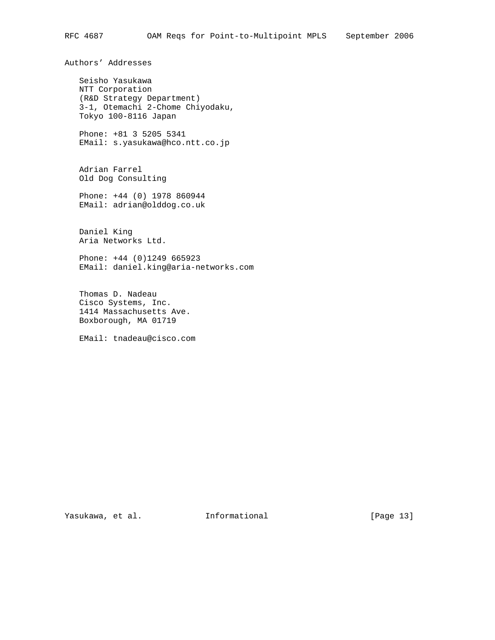Authors' Addresses

 Seisho Yasukawa NTT Corporation (R&D Strategy Department) 3-1, Otemachi 2-Chome Chiyodaku, Tokyo 100-8116 Japan

 Phone: +81 3 5205 5341 EMail: s.yasukawa@hco.ntt.co.jp

 Adrian Farrel Old Dog Consulting

 Phone: +44 (0) 1978 860944 EMail: adrian@olddog.co.uk

 Daniel King Aria Networks Ltd.

 Phone: +44 (0)1249 665923 EMail: daniel.king@aria-networks.com

 Thomas D. Nadeau Cisco Systems, Inc. 1414 Massachusetts Ave. Boxborough, MA 01719

EMail: tnadeau@cisco.com

Yasukawa, et al. 1nformational 1999 [Page 13]